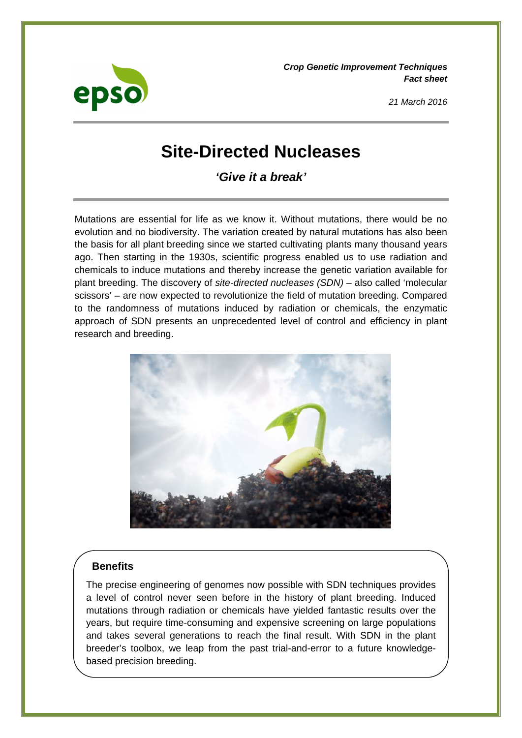

*Crop Genetic Improvement Techniques Fact sheet* 

*21 March 2016* 

# **Site-Directed Nucleases**

*'Give it a break'* 

Mutations are essential for life as we know it. Without mutations, there would be no evolution and no biodiversity. The variation created by natural mutations has also been the basis for all plant breeding since we started cultivating plants many thousand years ago. Then starting in the 1930s, scientific progress enabled us to use radiation and chemicals to induce mutations and thereby increase the genetic variation available for plant breeding. The discovery of *site-directed nucleases (SDN)* – also called 'molecular scissors' – are now expected to revolutionize the field of mutation breeding. Compared to the randomness of mutations induced by radiation or chemicals, the enzymatic approach of SDN presents an unprecedented level of control and efficiency in plant research and breeding.



## **Benefits**

The precise engineering of genomes now possible with SDN techniques provides a level of control never seen before in the history of plant breeding. Induced mutations through radiation or chemicals have yielded fantastic results over the years, but require time-consuming and expensive screening on large populations and takes several generations to reach the final result. With SDN in the plant breeder's toolbox, we leap from the past trial-and-error to a future knowledgebased precision breeding.